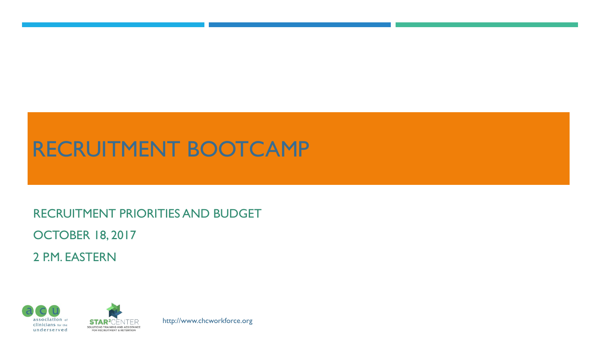## RECRUITMENT BOOTCAMP

RECRUITMENT PRIORITIES AND BUDGET

OCTOBER 18, 2017

2 P.M. EASTERN



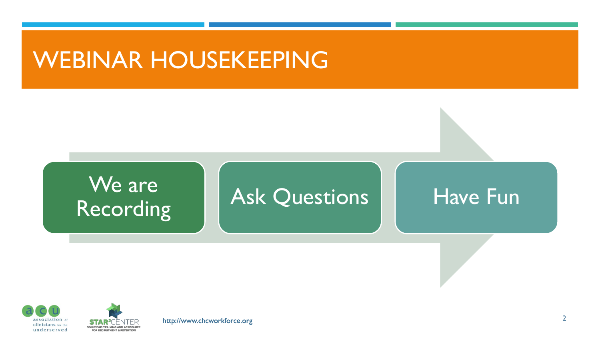## WEBINAR HOUSEKEEPING





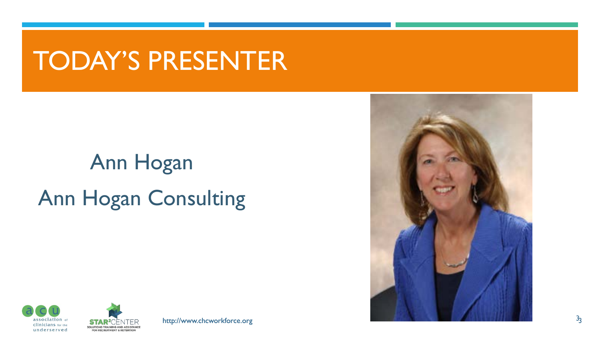# TODAY'S PRESENTER

# Ann Hogan Ann Hogan Consulting





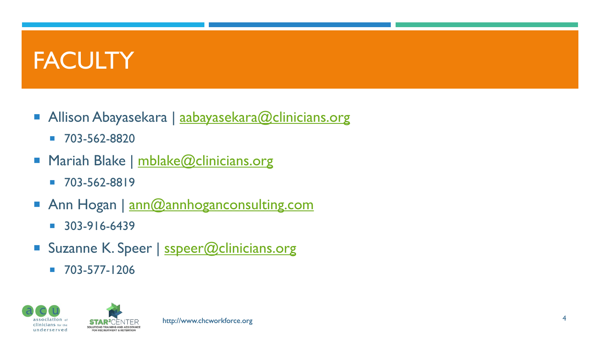# **FACULTY**

- Allison Abayasekara | [aabayasekara@clinicians.org](mailto:aabayasekara@clinicians.org)
	- 703-562-8820
- **Mariah Blake | [mblake@clinicians.org](mailto:mblake@clinicians.org)** 
	- $-703 562 8819$
- Ann Hogan | [ann@annhoganconsulting.com](mailto:ann@annhoganconsulting.com)
	- $-303-916-6439$
- Suzanne K. Speer | [sspeer@clinicians.org](mailto:sspeer@clinicians.org)
	- $-703-577-1206$

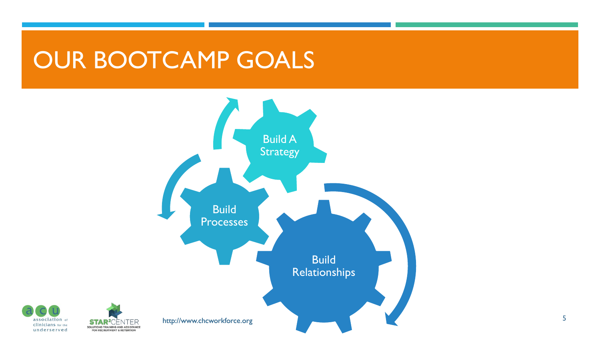# OUR BOOTCAMP GOALS



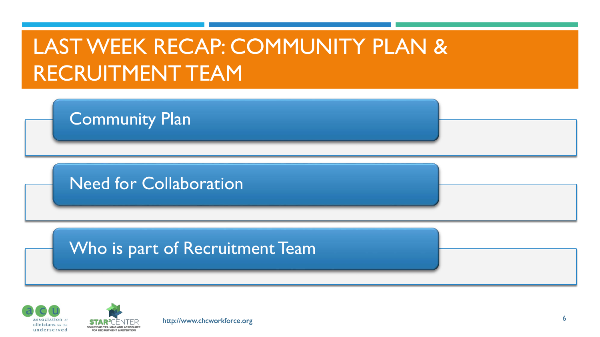# LAST WEEK RECAP: COMMUNITY PLAN & RECRUITMENT TEAM

Community Plan

Need for Collaboration

#### Who is part of Recruitment Team



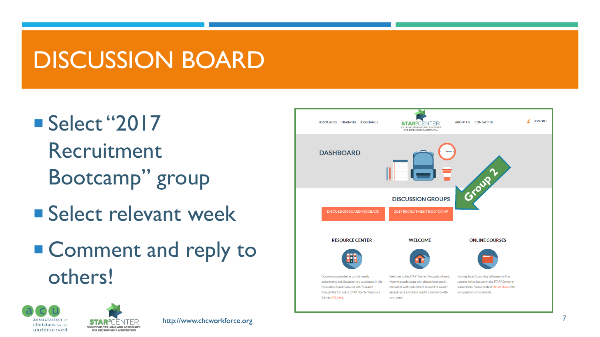# DISCUSSION BOARD

■ Select "2017 Recruitment Bootcamp" group

SOLUTIONS TRAINING AND ASSISTANCE

**FOR RECRUITMENT & RETENTION** 

- **Select relevant week**
- Comment and reply to others!



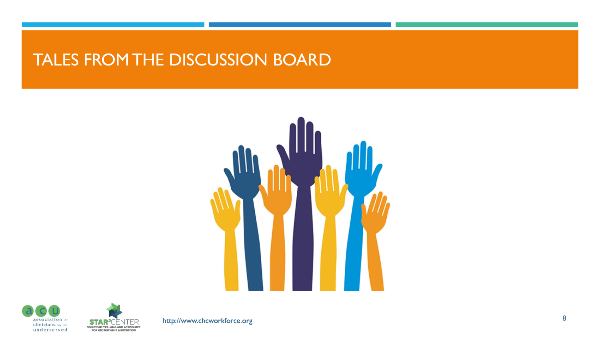#### TALES FROM THE DISCUSSION BOARD







http://www.chcworkforce.org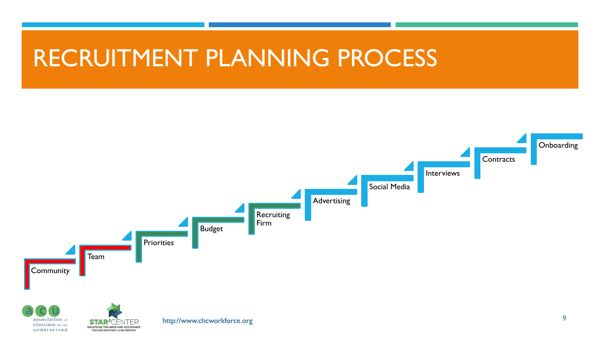## RECRUITMENT PLANNING PROCESS

**FOR RECRUITMENT & RETENTION** 

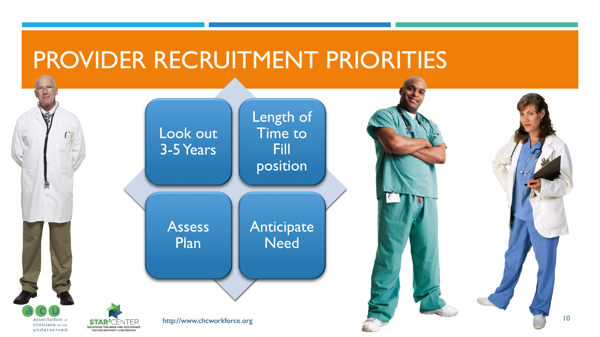# PROVIDER RECRUITMENT PRIORITIES



10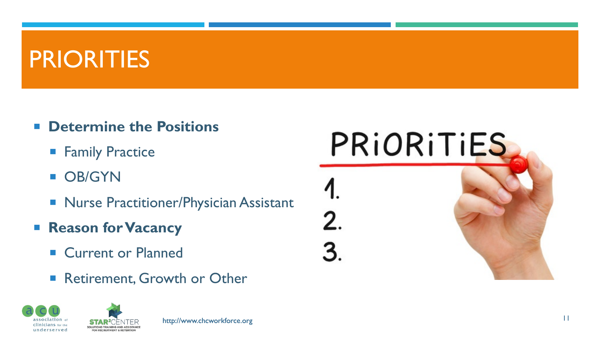# PRIORITIES

- **E** Determine the Positions
	- **Family Practice**
	- **D** OB/GYN
	- **Nurse Practitioner/Physician Assistant**
- **Reason for Vacancy** 
	- **E** Current or Planned
	- Retirement, Growth or Other



PRIORITIES

2.

3.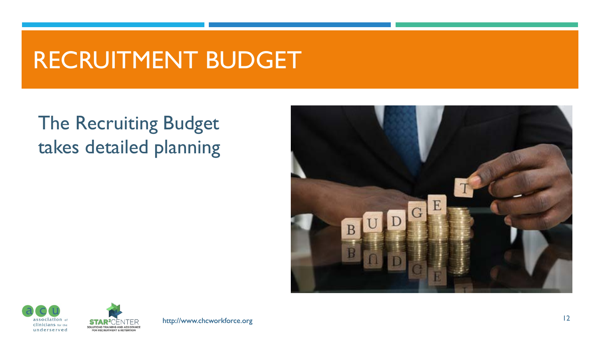# RECRUITMENT BUDGET

#### The Recruiting Budget takes detailed planning





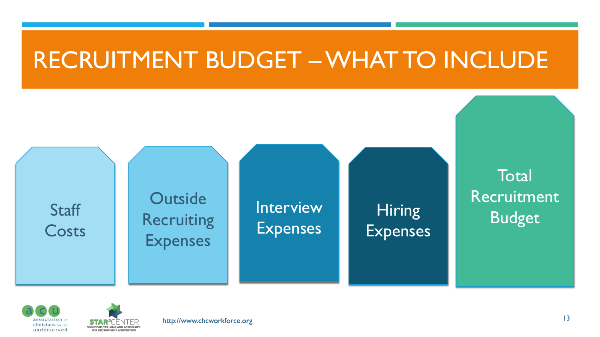## RECRUITMENT BUDGET –WHAT TO INCLUDE





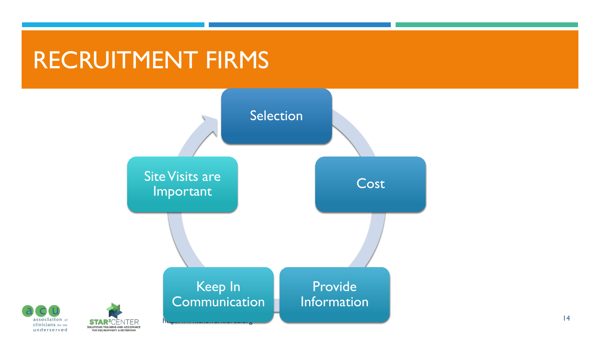# RECRUITMENT FIRMS





STA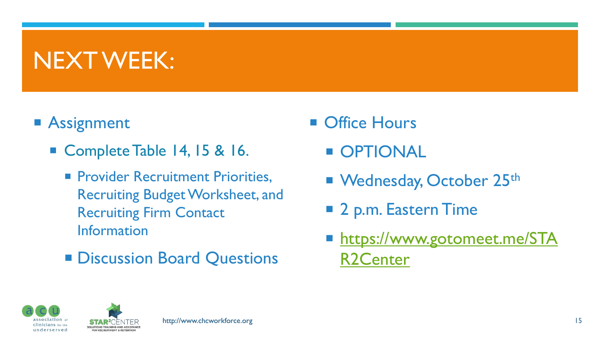# NEXT WEEK:

#### **Assignment**

- Complete Table 14, 15 & 16.
	- **Provider Recruitment Priorities,** Recruiting Budget Worksheet, and Recruiting Firm Contact Information
	- **Discussion Board Questions**
- **Office Hours** 
	- **OPTIONAL**
	- Wednesday, October 25<sup>th</sup>
	- 2 p.m. Eastern Time
	- **[https://www.gotomeet.me/STA](https://www.gotomeet.me/STAR2Center)** R2Center





**FOR RECRUITMENT & RETENTION**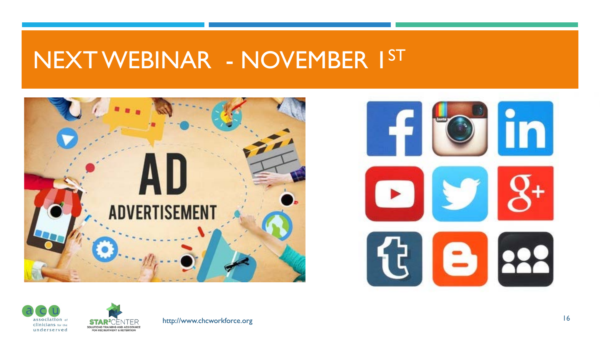## NEXT WEBINAR - NOVEMBER 1ST









http://www.chcworkforce.org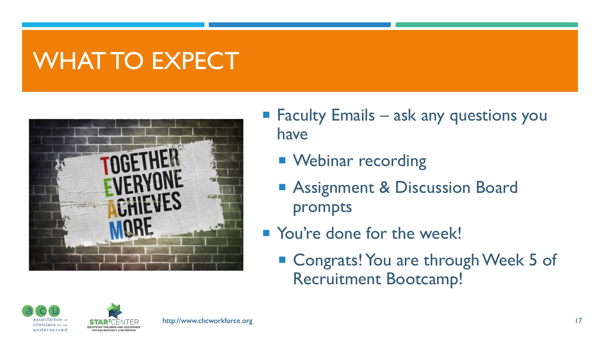# WHAT TO EXPECT



- $\blacksquare$  Faculty Emails ask any questions you have
	- **Nebinar recording**
	- **Assignment & Discussion Board** prompts
- **Nou're done for the week!** 
	- Congrats! You are through Week 5 of Recruitment Bootcamp!